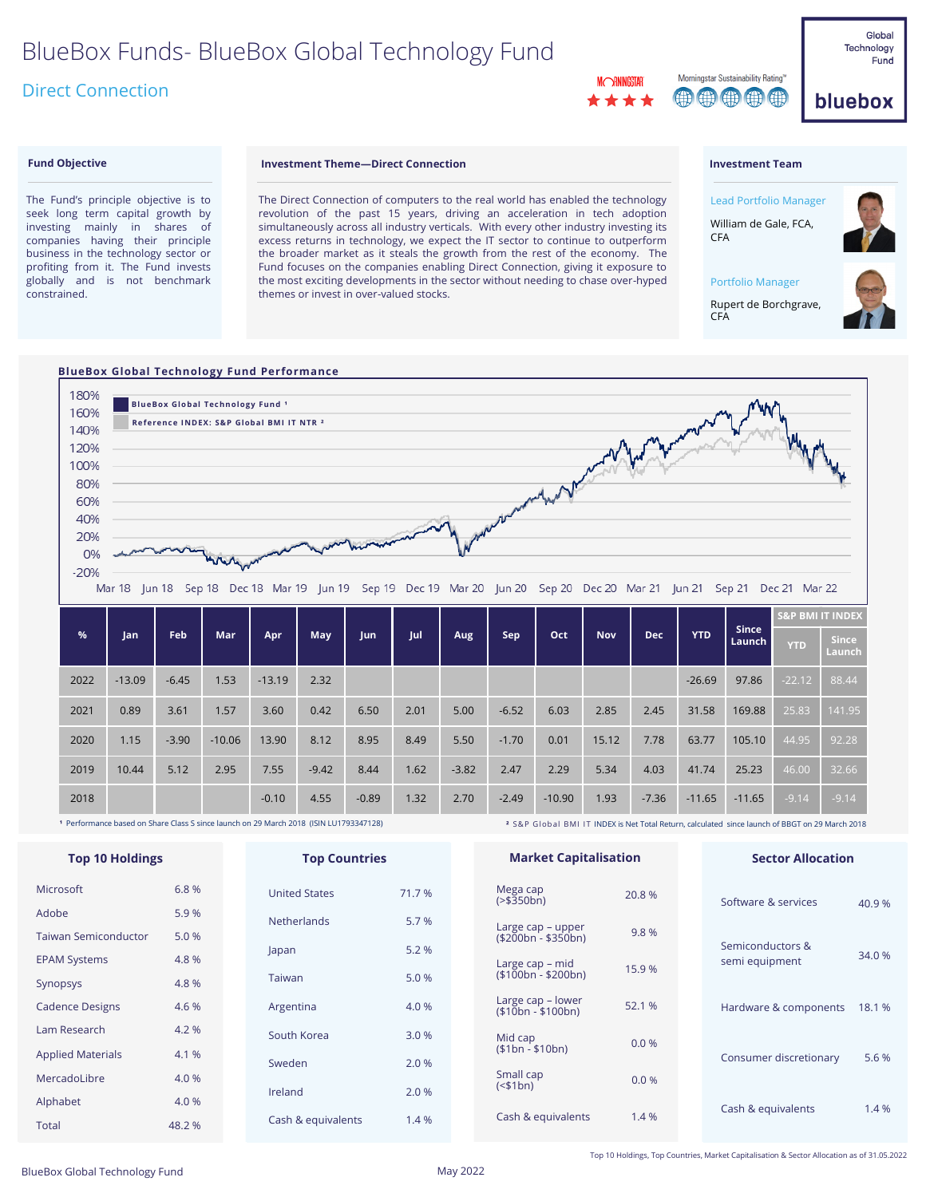# BlueBox Funds- BlueBox Global Technology Fund

# Direct Connection

Morningstar Sustainability Rating 00000

Global Technology Fund

bluebox

#### **Fund Objective**

The Fund's principle objective is to seek long term capital growth by investing mainly in shares of companies having their principle business in the technology sector or profiting from it. The Fund invests globally and is not benchmark constrained.

### **Investment Theme—Direct Connection**

The Direct Connection of computers to the real world has enabled the technology revolution of the past 15 years, driving an acceleration in tech adoption simultaneously across all industry verticals. With every other industry investing its excess returns in technology, we expect the IT sector to continue to outperform the broader market as it steals the growth from the rest of the economy. The Fund focuses on the companies enabling Direct Connection, giving it exposure to the most exciting developments in the sector without needing to chase over-hyped themes or invest in over-valued stocks.

#### **Investment Team**

CFA

CFA



### **BlueBox Global Technology Fund Performance**



| %    | Jan      | Feb     | Mar      | Apr      | May     | Jun     | Jul  | Aug     | Sep     | Oct      | <b>Nov</b> | <b>Dec</b> | <b>YTD</b> | <b>Since</b><br>Launch | <b>S&amp;P BMI IT INDEX</b> |                        |
|------|----------|---------|----------|----------|---------|---------|------|---------|---------|----------|------------|------------|------------|------------------------|-----------------------------|------------------------|
|      |          |         |          |          |         |         |      |         |         |          |            |            |            |                        | <b>YTD</b>                  | <b>Since</b><br>Launch |
| 2022 | $-13.09$ | $-6.45$ | 1.53     | $-13.19$ | 2.32    |         |      |         |         |          |            |            | $-26.69$   | 97.86                  | $-22.12$                    | 88.44                  |
| 2021 | 0.89     | 3.61    | 1.57     | 3.60     | 0.42    | 6.50    | 2.01 | 5.00    | $-6.52$ | 6.03     | 2.85       | 2.45       | 31.58      | 169.88                 | 25.83                       | 141.95                 |
| 2020 | 1.15     | $-3.90$ | $-10.06$ | 13.90    | 8.12    | 8.95    | 8.49 | 5.50    | $-1.70$ | 0.01     | 15.12      | 7.78       | 63.77      | 105.10                 | 44.95                       | 92.28                  |
| 2019 | 10.44    | 5.12    | 2.95     | 7.55     | $-9.42$ | 8.44    | 1.62 | $-3.82$ | 2.47    | 2.29     | 5.34       | 4.03       | 41.74      | 25.23                  | 46.00                       | 32.66                  |
| 2018 |          |         |          | $-0.10$  | 4.55    | $-0.89$ | 1.32 | 2.70    | $-2.49$ | $-10.90$ | 1.93       | $-7.36$    | $-11.65$   | $-11.65$               | $-9.14$                     | $-9.14$                |

**¹** Performance based on Share Class S since launch on 29 March 2018 (ISIN LU1793347128)

**²** S&P Global BMI IT INDEX is Net Total Return, calculated since launch of BBGT on 29 March 2018

| <b>Top 10 Holdings</b>      |        | <b>Top Countries</b> |        |                 | <b>Market Capitalisation</b>             |        |  | <b>Sector Allocation</b> |        |  |
|-----------------------------|--------|----------------------|--------|-----------------|------------------------------------------|--------|--|--------------------------|--------|--|
| Microsoft                   | 6.8%   | <b>United States</b> | 71.7 % |                 | Mega cap<br>$(>\frac{1}{2}350bn)$        | 20.8 % |  | Software & services      | 40.9%  |  |
| Adobe                       | 5.9%   | <b>Netherlands</b>   | 5.7 %  |                 |                                          |        |  |                          |        |  |
| <b>Taiwan Semiconductor</b> | 5.0 %  |                      |        |                 | Large cap – upper<br>$($200bn - $350bn)$ | 9.8%   |  | Semiconductors &         |        |  |
| <b>EPAM Systems</b>         | 4.8 %  | Japan                | 5.2 %  | Large cap – mid |                                          |        |  | semi equipment           | 34.0 % |  |
| Synopsys                    | 4.8 %  | Taiwan               | 5.0%   |                 | $($100bn - $200bn)$                      | 15.9%  |  |                          |        |  |
| <b>Cadence Designs</b>      | 4.6 %  | Argentina            | 4.0 %  |                 | Large cap – lower<br>$($10bn - $100bn)$  | 52.1 % |  | Hardware & components    | 18.1 % |  |
| Lam Research                | 4.2 %  | South Korea          | 3.0 %  |                 | Mid cap                                  |        |  |                          |        |  |
| <b>Applied Materials</b>    | 4.1 %  | Sweden               | 2.0%   |                 | $($1bn - $10bn)$                         | 0.0%   |  | Consumer discretionary   | 5.6 %  |  |
| MercadoLibre                | 4.0 %  |                      |        |                 | Small cap                                | 0.0%   |  |                          |        |  |
| Alphabet                    | 4.0 %  | Ireland              | 2.0 %  |                 | $(51bn)$                                 |        |  |                          |        |  |
| <b>Total</b>                | 48.2 % | Cash & equivalents   | 1.4 %  |                 | Cash & equivalents                       | 1.4 %  |  | Cash & equivalents       | 1.4 %  |  |